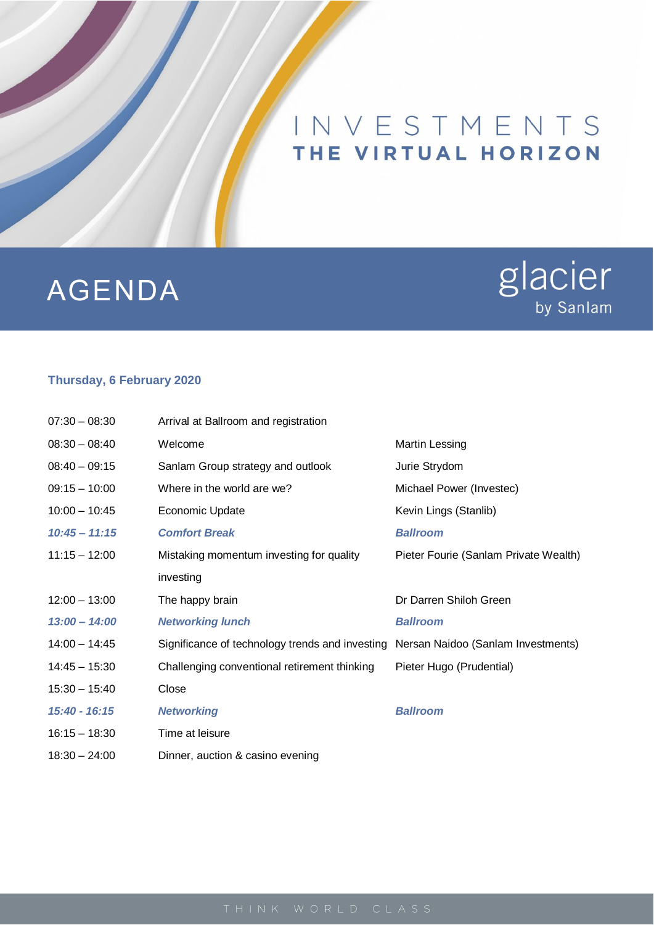## INVESTMENTS THE VIRTUAL HORIZON

## AGENDA

# glacier<br>by Sanlam

#### **Thursday, 6 February 2020**

| $07:30 - 08:30$ | Arrival at Ballroom and registration            |                                       |
|-----------------|-------------------------------------------------|---------------------------------------|
| $08:30 - 08:40$ | Welcome                                         | Martin Lessing                        |
| $08:40 - 09:15$ | Sanlam Group strategy and outlook               | Jurie Strydom                         |
| $09:15 - 10:00$ | Where in the world are we?                      | Michael Power (Investec)              |
| $10:00 - 10:45$ | <b>Economic Update</b>                          | Kevin Lings (Stanlib)                 |
| $10:45 - 11:15$ | <b>Comfort Break</b>                            | <b>Ballroom</b>                       |
| $11:15 - 12:00$ | Mistaking momentum investing for quality        | Pieter Fourie (Sanlam Private Wealth) |
|                 | investing                                       |                                       |
| $12:00 - 13:00$ | The happy brain                                 | Dr Darren Shiloh Green                |
| $13:00 - 14:00$ | <b>Networking lunch</b>                         | <b>Ballroom</b>                       |
| $14:00 - 14:45$ | Significance of technology trends and investing | Nersan Naidoo (Sanlam Investments)    |
| $14:45 - 15:30$ | Challenging conventional retirement thinking    | Pieter Hugo (Prudential)              |
| $15:30 - 15:40$ | Close                                           |                                       |
| 15:40 - 16:15   | <b>Networking</b>                               | <b>Ballroom</b>                       |
| $16:15 - 18:30$ | Time at leisure                                 |                                       |
| $18:30 - 24:00$ | Dinner, auction & casino evening                |                                       |